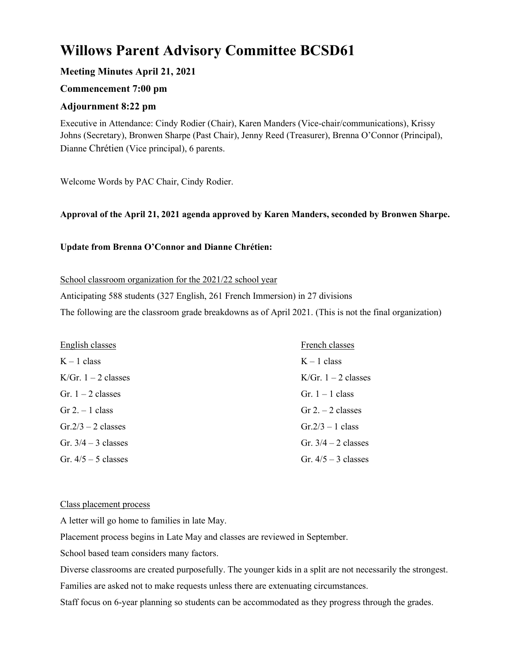# **Willows Parent Advisory Committee BCSD61**

# **Meeting Minutes April 21, 2021**

# **Commencement 7:00 pm**

## **Adjournment 8:22 pm**

Executive in Attendance: Cindy Rodier (Chair), Karen Manders (Vice-chair/communications), Krissy Johns (Secretary), Bronwen Sharpe (Past Chair), Jenny Reed (Treasurer), Brenna O'Connor (Principal), Dianne Chrétien (Vice principal), 6 parents.

Welcome Words by PAC Chair, Cindy Rodier.

## **Approval of the April 21, 2021 agenda approved by Karen Manders, seconded by Bronwen Sharpe.**

## **Update from Brenna O'Connor and Dianne Chrétien:**

School classroom organization for the 2021/22 school year

Anticipating 588 students (327 English, 261 French Immersion) in 27 divisions

The following are the classroom grade breakdowns as of April 2021. (This is not the final organization)

| English classes       | French classes        |
|-----------------------|-----------------------|
| $K-1$ class           | $K - 1$ class         |
| K/Gr. $1 - 2$ classes | K/Gr. $1 - 2$ classes |
| Gr. $1 - 2$ classes   | Gr. $1 - 1$ class     |
| $Gr 2 - 1$ class      | $Gr 2 - 2 classes$    |
| $Gr.2/3 - 2$ classes  | $Gr.2/3 - 1$ class    |
| Gr. $3/4 - 3$ classes | Gr. $3/4 - 2$ classes |
| Gr. $4/5 - 5$ classes | Gr. $4/5 - 3$ classes |

#### Class placement process

A letter will go home to families in late May.

Placement process begins in Late May and classes are reviewed in September.

School based team considers many factors.

Diverse classrooms are created purposefully. The younger kids in a split are not necessarily the strongest.

Families are asked not to make requests unless there are extenuating circumstances.

Staff focus on 6-year planning so students can be accommodated as they progress through the grades.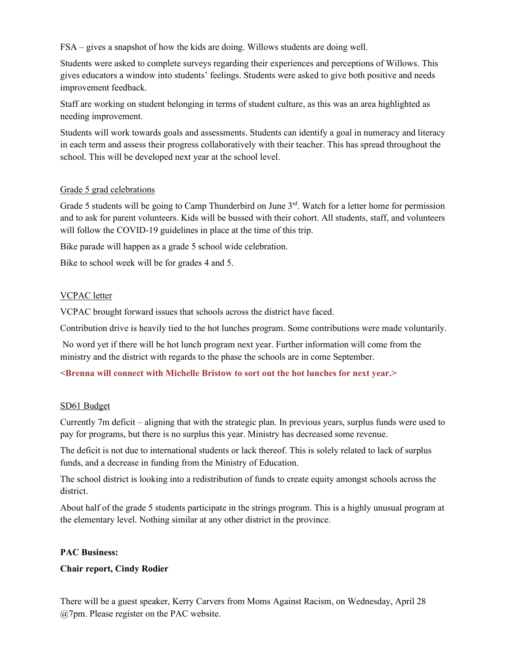FSA – gives a snapshot of how the kids are doing. Willows students are doing well.

Students were asked to complete surveys regarding their experiences and perceptions of Willows. This gives educators a window into students' feelings. Students were asked to give both positive and needs improvement feedback.

Staff are working on student belonging in terms of student culture, as this was an area highlighted as needing improvement.

Students will work towards goals and assessments. Students can identify a goal in numeracy and literacy in each term and assess their progress collaboratively with their teacher. This has spread throughout the school. This will be developed next year at the school level.

## Grade 5 grad celebrations

Grade 5 students will be going to Camp Thunderbird on June 3<sup>rd</sup>. Watch for a letter home for permission and to ask for parent volunteers. Kids will be bussed with their cohort. All students, staff, and volunteers will follow the COVID-19 guidelines in place at the time of this trip.

Bike parade will happen as a grade 5 school wide celebration.

Bike to school week will be for grades 4 and 5.

## VCPAC letter

VCPAC brought forward issues that schools across the district have faced.

Contribution drive is heavily tied to the hot lunches program. Some contributions were made voluntarily.

No word yet if there will be hot lunch program next year. Further information will come from the ministry and the district with regards to the phase the schools are in come September.

**<Brenna will connect with Michelle Bristow to sort out the hot lunches for next year.>**

#### SD61 Budget

Currently 7m deficit – aligning that with the strategic plan. In previous years, surplus funds were used to pay for programs, but there is no surplus this year. Ministry has decreased some revenue.

The deficit is not due to international students or lack thereof. This is solely related to lack of surplus funds, and a decrease in funding from the Ministry of Education.

The school district is looking into a redistribution of funds to create equity amongst schools across the district.

About half of the grade 5 students participate in the strings program. This is a highly unusual program at the elementary level. Nothing similar at any other district in the province.

#### **PAC Business:**

## **Chair report, Cindy Rodier**

There will be a guest speaker, Kerry Carvers from Moms Against Racism, on Wednesday, April 28 @7pm. Please register on the PAC website.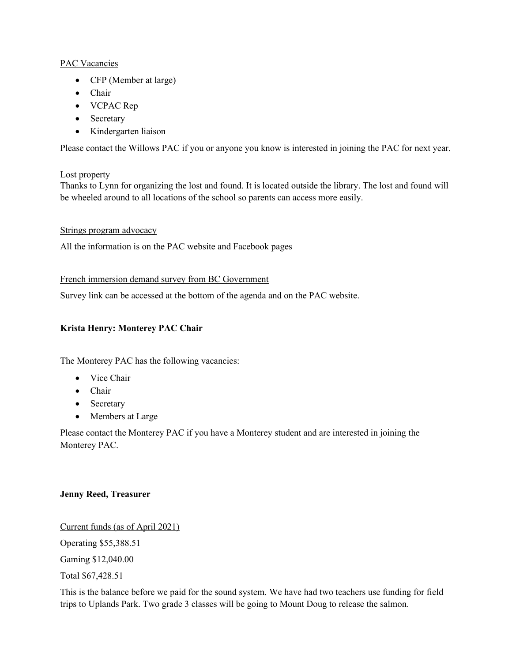## PAC Vacancies

- CFP (Member at large)
- Chair
- VCPAC Rep
- Secretary
- Kindergarten liaison

Please contact the Willows PAC if you or anyone you know is interested in joining the PAC for next year.

## Lost property

Thanks to Lynn for organizing the lost and found. It is located outside the library. The lost and found will be wheeled around to all locations of the school so parents can access more easily.

## Strings program advocacy

All the information is on the PAC website and Facebook pages

# French immersion demand survey from BC Government

Survey link can be accessed at the bottom of the agenda and on the PAC website.

# **Krista Henry: Monterey PAC Chair**

The Monterey PAC has the following vacancies:

- Vice Chair
- Chair
- Secretary
- Members at Large

Please contact the Monterey PAC if you have a Monterey student and are interested in joining the Monterey PAC.

# **Jenny Reed, Treasurer**

Current funds (as of April 2021) Operating \$55,388.51 Gaming \$12,040.00 Total \$67,428.51

This is the balance before we paid for the sound system. We have had two teachers use funding for field trips to Uplands Park. Two grade 3 classes will be going to Mount Doug to release the salmon.